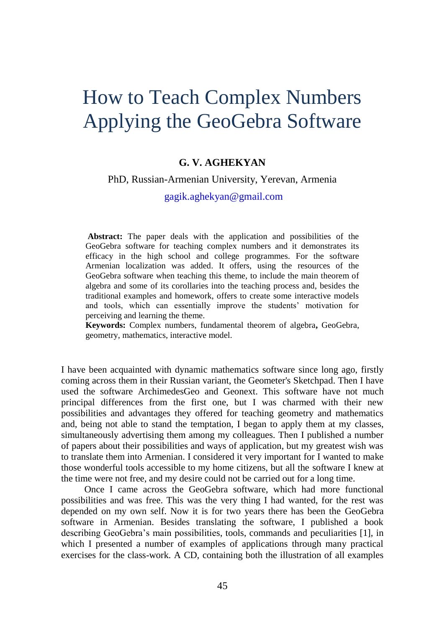# How to Teach Complex Numbers Applying the GeoGebra Software

## **G. V. AGHEKYAN**

#### PhD, Russian-Armenian University, Yerevan, Armenia

[gagik.aghekyan@gmail.com](mailto:gagik.aghekyan@gmail.com)

**Abstract:** The paper deals with the application and possibilities of the GeoGebra software for teaching complex numbers and it demonstrates its efficacy in the high school and college programmes. For the software Armenian localization was added. It offers, using the resources of the GeoGebra software when teaching this theme, to include the main theorem of algebra and some of its corollaries into the teaching process and, besides the traditional examples and homework, offers to create some interactive models and tools, which can essentially improve the students' motivation for perceiving and learning the theme.

**Keywords:** Complex numbers, fundamental theorem of algebra**,** GeoGebra, geometry, mathematics, interactive model.

I have been acquainted with dynamic mathematics software since long ago, firstly coming across them in their Russian variant, the Geometer's Sketchpad. Then I have used the software ArchimedesGeo and Geonext. This software have not much principal differences from the first one, but I was charmed with their new possibilities and advantages they offered for teaching geometry and mathematics and, being not able to stand the temptation, I began to apply them at my classes, simultaneously advertising them among my colleagues. Then I published a number of papers about their possibilities and ways of application, but my greatest wish was to translate them into Armenian. I considered it very important for I wanted to make those wonderful tools accessible to my home citizens, but all the software I knew at the time were not free, and my desire could not be carried out for a long time.

Once I came across the GeoGebra software, which had more functional possibilities and was free. This was the very thing I had wanted, for the rest was depended on my own self. Now it is for two years there has been the GeoGebra software in Armenian. Besides translating the software, I published a book describing GeoGebra's main possibilities, tools, commands and peculiarities [1], in which I presented a number of examples of applications through many practical exercises for the class-work. A CD, containing both the illustration of all examples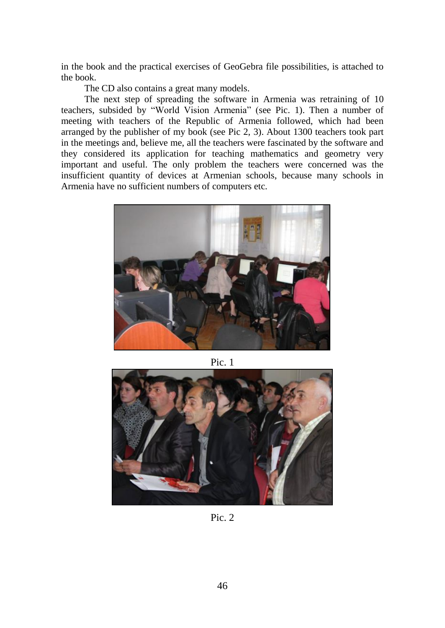in the book and the practical exercises of GeoGebra file possibilities, is attached to the book.

The CD also contains a great many models.

The next step of spreading the software in Armenia was retraining of 10 teachers, subsided by "World Vision Armenia" (see Pic. 1). Then a number of meeting with teachers of the Republic of Armenia followed, which had been arranged by the publisher of my book (see Pic 2, 3). About 1300 teachers took part in the meetings and, believe me, all the teachers were fascinated by the software and they considered its application for teaching mathematics and geometry very important and useful. The only problem the teachers were concerned was the insufficient quantity of devices at Armenian schools, because many schools in Armenia have no sufficient numbers of computers etc.



Pic. 1



Pic. 2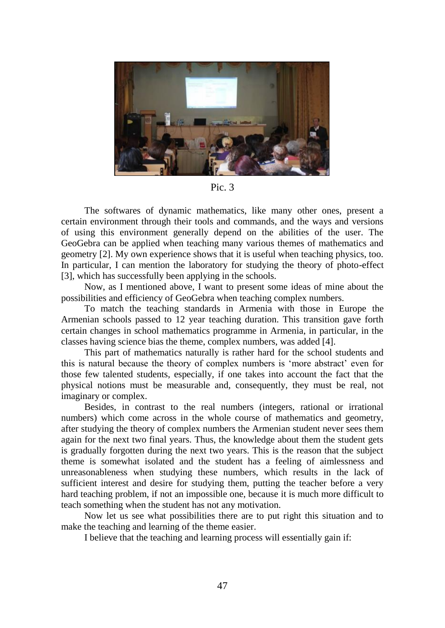

Pic. 3

The softwares of dynamic mathematics, like many other ones, present a certain environment through their tools and commands, and the ways and versions of using this environment generally depend on the abilities of the user. The GeoGebra can be applied when teaching many various themes of mathematics and geometry [2]. My own experience shows that it is useful when teaching physics, too. In particular, I can mention the laboratory for studying the theory of photo-effect [3], which has successfully been applying in the schools.

Now, as I mentioned above, I want to present some ideas of mine about the possibilities and efficiency of GeoGebra when teaching complex numbers.

To match the teaching standards in Armenia with those in Europe the Armenian schools passed to 12 year teaching duration. This transition gave forth certain changes in school mathematics programme in Armenia, in particular, in the classes having science bias the theme, complex numbers, was added [4].

This part of mathematics naturally is rather hard for the school students and this is natural because the theory of complex numbers is 'more abstract' even for those few talented students, especially, if one takes into account the fact that the physical notions must be measurable and, consequently, they must be real, not imaginary or complex.

Besides, in contrast to the real numbers (integers, rational or irrational numbers) which come across in the whole course of mathematics and geometry, after studying the theory of complex numbers the Armenian student never sees them again for the next two final years. Thus, the knowledge about them the student gets is gradually forgotten during the next two years. This is the reason that the subject theme is somewhat isolated and the student has a feeling of aimlessness and unreasonableness when studying these numbers, which results in the lack of sufficient interest and desire for studying them, putting the teacher before a very hard teaching problem, if not an impossible one, because it is much more difficult to teach something when the student has not any motivation.

Now let us see what possibilities there are to put right this situation and to make the teaching and learning of the theme easier.

I believe that the teaching and learning process will essentially gain if: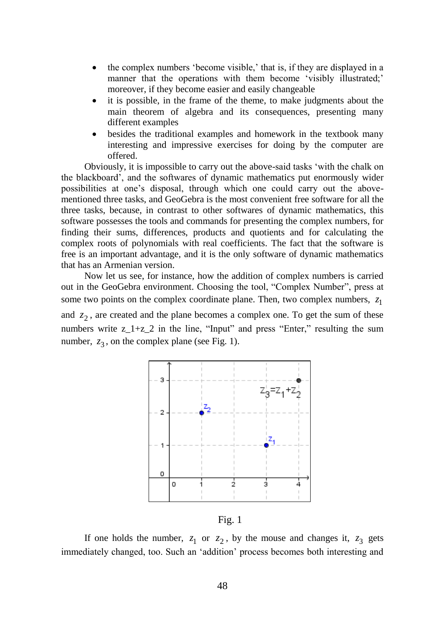- the complex numbers 'become visible,' that is, if they are displayed in a manner that the operations with them become 'visibly illustrated;' moreover, if they become easier and easily changeable
- it is possible, in the frame of the theme, to make judgments about the main theorem of algebra and its consequences, presenting many different examples
- besides the traditional examples and homework in the textbook many interesting and impressive exercises for doing by the computer are offered.

Obviously, it is impossible to carry out the above-said tasks 'with the chalk on the blackboard', and the softwares of dynamic mathematics put enormously wider possibilities at one's disposal, through which one could carry out the abovementioned three tasks, and GeoGebra is the most convenient free software for all the three tasks, because, in contrast to other softwares of dynamic mathematics, this software possesses the tools and commands for presenting the complex numbers, for finding their sums, differences, products and quotients and for calculating the complex roots of polynomials with real coefficients. The fact that the software is free is an important advantage, and it is the only software of dynamic mathematics that has an Armenian version.

Now let us see, for instance, how the addition of complex numbers is carried out in the GeoGebra environment. Choosing the tool, "Complex Number", press at some two points on the complex coordinate plane. Then, two complex numbers,  $z_1$ and  $z_2$ , are created and the plane becomes a complex one. To get the sum of these numbers write  $z_1 + z_2$  in the line, "Input" and press "Enter," resulting the sum number,  $z_3$ , on the complex plane (see Fig. 1).



Fig. 1

If one holds the number,  $z_1$  or  $z_2$ , by the mouse and changes it,  $z_3$  gets immediately changed, too. Such an 'addition' process becomes both interesting and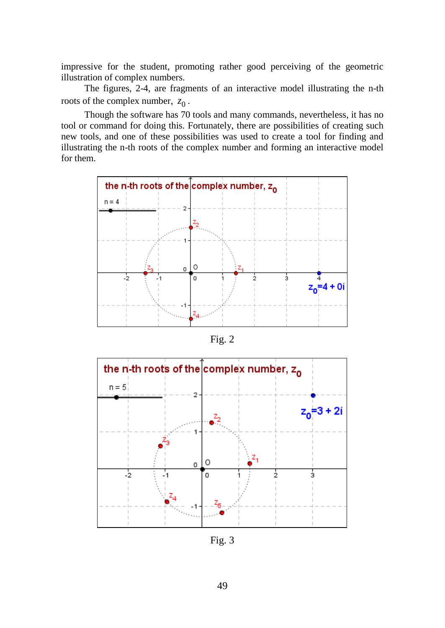impressive for the student, promoting rather good perceiving of the geometric illustration of complex numbers.

The figures, 2-4, are fragments of an interactive model illustrating the n-th roots of the complex number,  $z_0$ .

Though the software has 70 tools and many commands, nevertheless, it has no tool or command for doing this. Fortunately, there are possibilities of creating such new tools, and one of these possibilities was used to create a tool for finding and illustrating the n-th roots of the complex number and forming an interactive model for them.



Fig. 2



Fig. 3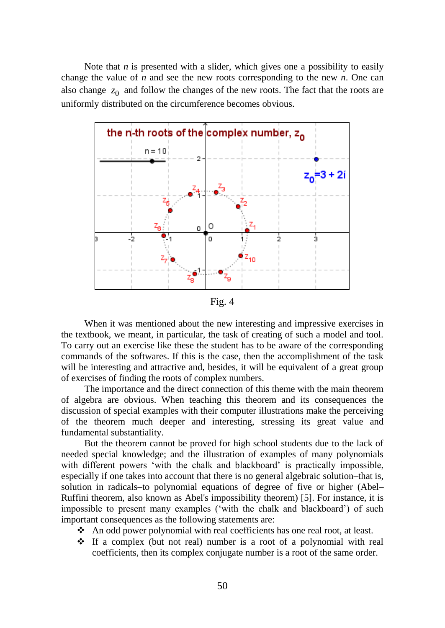Note that *n* is presented with a slider, which gives one a possibility to easily change the value of *n* and see the new roots corresponding to the new *n*. One can also change  $z_0$  and follow the changes of the new roots. The fact that the roots are uniformly distributed on the circumference becomes obvious.



Fig. 4

When it was mentioned about the new interesting and impressive exercises in the textbook, we meant, in particular, the task of creating of such a model and tool. To carry out an exercise like these the student has to be aware of the corresponding commands of the softwares. If this is the case, then the accomplishment of the task will be interesting and attractive and, besides, it will be equivalent of a great group of exercises of finding the roots of complex numbers.

The importance and the direct connection of this theme with the main theorem of algebra are obvious. When teaching this theorem and its consequences the discussion of special examples with their computer illustrations make the perceiving of the theorem much deeper and interesting, stressing its great value and fundamental substantiality.

But the theorem cannot be proved for high school students due to the lack of needed special knowledge; and the illustration of examples of many polynomials with different powers 'with the chalk and blackboard' is practically impossible, especially if one takes into account that there is no general algebraic solution–that is, solution in radicals–to polynomial equations of degree of five or higher (Abel– Ruffini theorem, also known as Abel's impossibility theorem) [5]. For instance, it is impossible to present many examples ('with the chalk and blackboard') of such important consequences as the following statements are:

- An odd power polynomial with real coefficients has one real root, at least.
- $\div$  If a complex (but not real) number is a root of a polynomial with real coefficients, then its complex conjugate number is a root of the same order.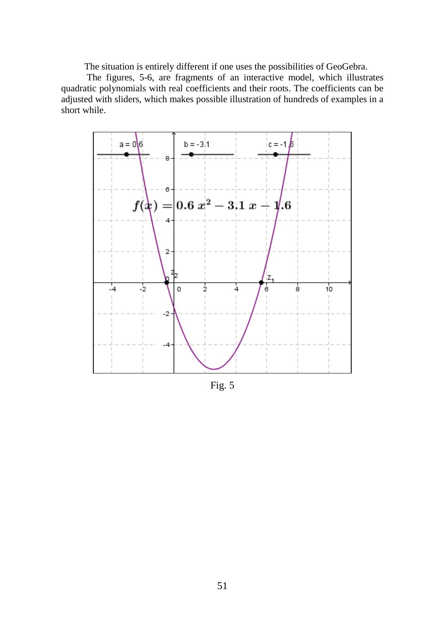The situation is entirely different if one uses the possibilities of GeoGebra.

The figures, 5-6, are fragments of an interactive model, which illustrates quadratic polynomials with real coefficients and their roots. The coefficients can be adjusted with sliders, which makes possible illustration of hundreds of examples in a short while.



Fig. 5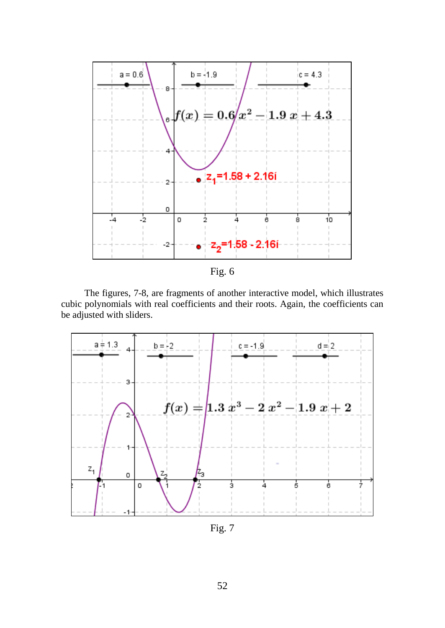

The figures, 7-8, are fragments of another interactive model, which illustrates cubic polynomials with real coefficients and their roots. Again, the coefficients can be adjusted with sliders.



Fig. 7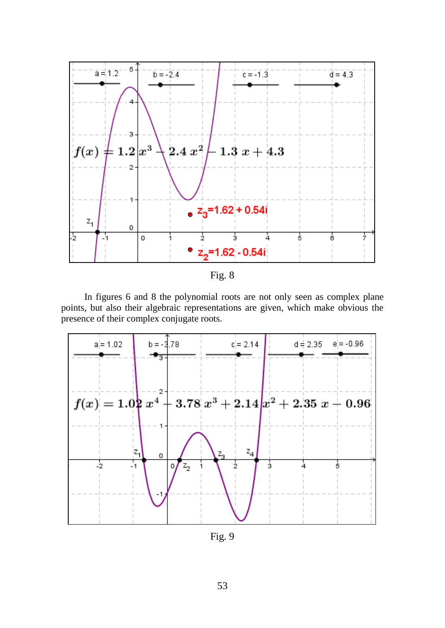



In figures 6 and 8 the polynomial roots are not only seen as complex plane points, but also their algebraic representations are given, which make obvious the presence of their complex conjugate roots.



Fig. 9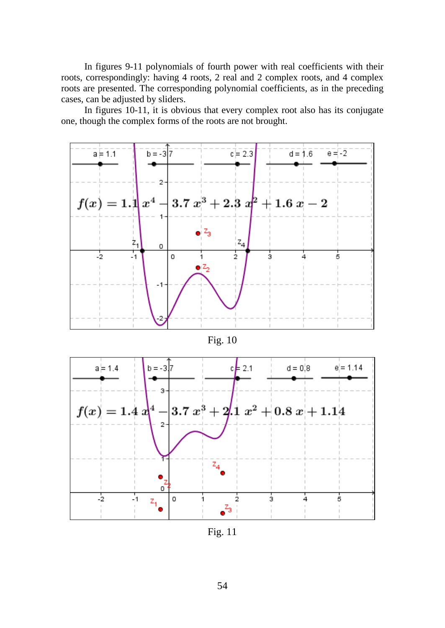In figures 9-11 polynomials of fourth power with real coefficients with their roots, correspondingly: having 4 roots, 2 real and 2 complex roots, and 4 complex roots are presented. The corresponding polynomial coefficients, as in the preceding cases, can be adjusted by sliders.

In figures 10-11, it is obvious that every complex root also has its conjugate one, though the complex forms of the roots are not brought.



Fig. 10



Fig. 11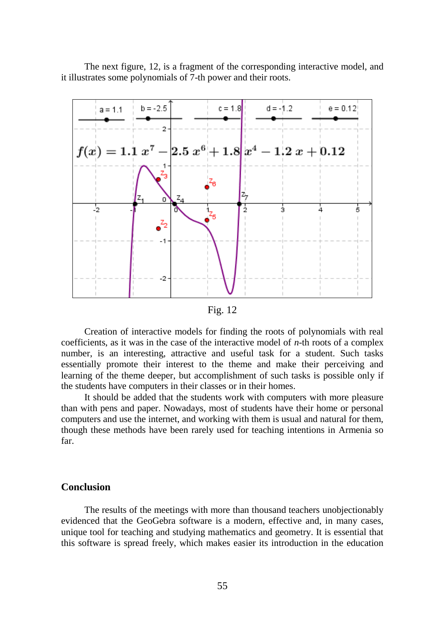The next figure, 12, is a fragment of the corresponding interactive model, and it illustrates some polynomials of 7-th power and their roots.



Fig. 12

Creation of interactive models for finding the roots of polynomials with real coefficients, as it was in the case of the interactive model of *n*-th roots of a complex number, is an interesting, attractive and useful task for a student. Such tasks essentially promote their interest to the theme and make their perceiving and learning of the theme deeper, but accomplishment of such tasks is possible only if the students have computers in their classes or in their homes.

It should be added that the students work with computers with more pleasure than with pens and paper. Nowadays, most of students have their home or personal computers and use the internet, and working with them is usual and natural for them, though these methods have been rarely used for teaching intentions in Armenia so far.

## **Conclusion**

The results of the meetings with more than thousand teachers unobjectionably evidenced that the GeoGebra software is a modern, effective and, in many cases, unique tool for teaching and studying mathematics and geometry. It is essential that this software is spread freely, which makes easier its introduction in the education